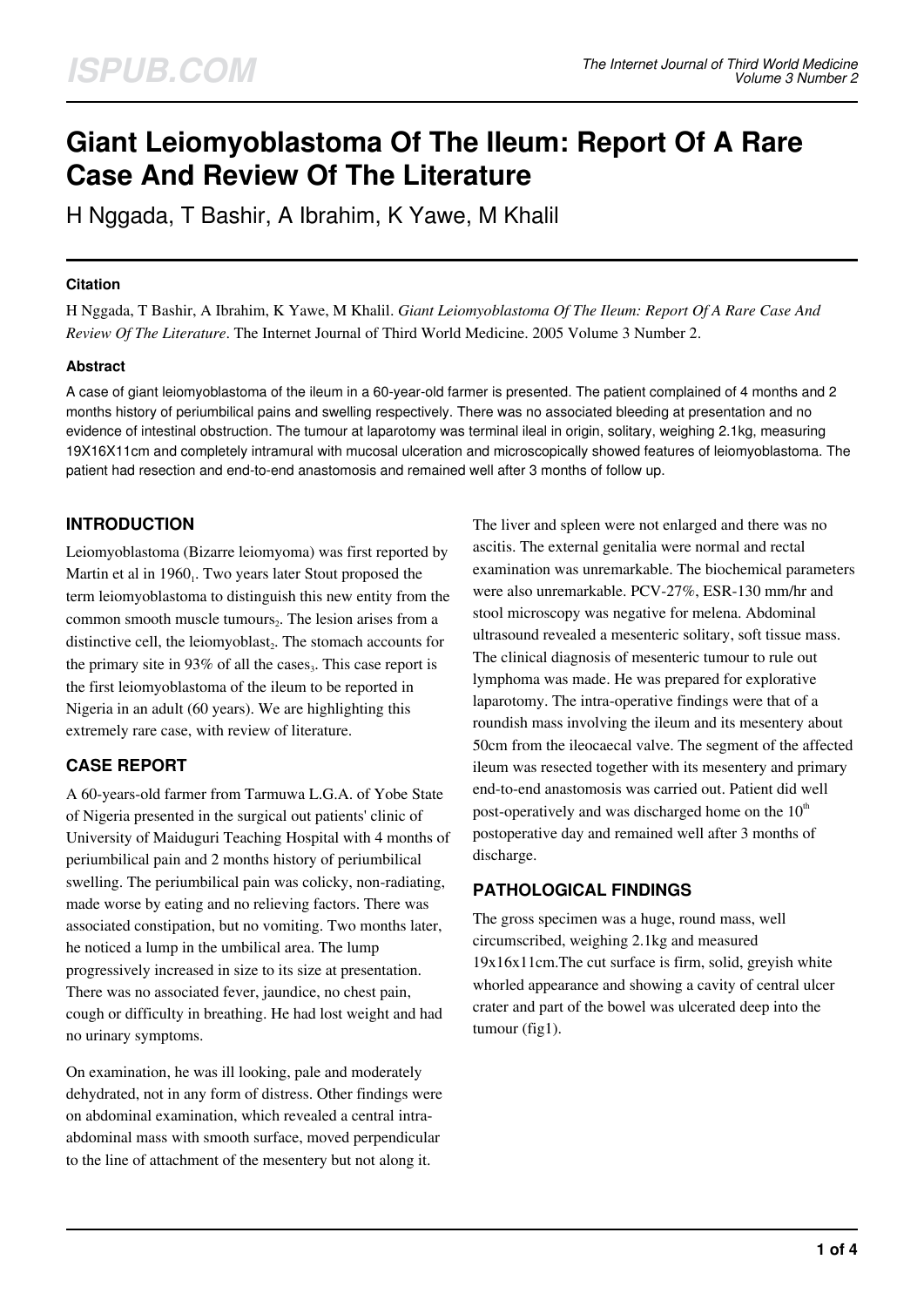# **Giant Leiomyoblastoma Of The Ileum: Report Of A Rare Case And Review Of The Literature**

H Nggada, T Bashir, A Ibrahim, K Yawe, M Khalil

#### **Citation**

H Nggada, T Bashir, A Ibrahim, K Yawe, M Khalil. *Giant Leiomyoblastoma Of The Ileum: Report Of A Rare Case And Review Of The Literature*. The Internet Journal of Third World Medicine. 2005 Volume 3 Number 2.

## **Abstract**

A case of giant leiomyoblastoma of the ileum in a 60-year-old farmer is presented. The patient complained of 4 months and 2 months history of periumbilical pains and swelling respectively. There was no associated bleeding at presentation and no evidence of intestinal obstruction. The tumour at laparotomy was terminal ileal in origin, solitary, weighing 2.1kg, measuring 19X16X11cm and completely intramural with mucosal ulceration and microscopically showed features of leiomyoblastoma. The patient had resection and end-to-end anastomosis and remained well after 3 months of follow up.

# **INTRODUCTION**

Leiomyoblastoma (Bizarre leiomyoma) was first reported by Martin et al in 1960<sub>1</sub>. Two years later Stout proposed the term leiomyoblastoma to distinguish this new entity from the common smooth muscle tumours $_2$ . The lesion arises from a distinctive cell, the leiomyoblast $_2$ . The stomach accounts for the primary site in  $93\%$  of all the cases<sub>3</sub>. This case report is the first leiomyoblastoma of the ileum to be reported in Nigeria in an adult (60 years). We are highlighting this extremely rare case, with review of literature.

# **CASE REPORT**

A 60-years-old farmer from Tarmuwa L.G.A. of Yobe State of Nigeria presented in the surgical out patients' clinic of University of Maiduguri Teaching Hospital with 4 months of periumbilical pain and 2 months history of periumbilical swelling. The periumbilical pain was colicky, non-radiating, made worse by eating and no relieving factors. There was associated constipation, but no vomiting. Two months later, he noticed a lump in the umbilical area. The lump progressively increased in size to its size at presentation. There was no associated fever, jaundice, no chest pain, cough or difficulty in breathing. He had lost weight and had no urinary symptoms.

On examination, he was ill looking, pale and moderately dehydrated, not in any form of distress. Other findings were on abdominal examination, which revealed a central intraabdominal mass with smooth surface, moved perpendicular to the line of attachment of the mesentery but not along it.

The liver and spleen were not enlarged and there was no ascitis. The external genitalia were normal and rectal examination was unremarkable. The biochemical parameters were also unremarkable. PCV-27%, ESR-130 mm/hr and stool microscopy was negative for melena. Abdominal ultrasound revealed a mesenteric solitary, soft tissue mass. The clinical diagnosis of mesenteric tumour to rule out lymphoma was made. He was prepared for explorative laparotomy. The intra-operative findings were that of a roundish mass involving the ileum and its mesentery about 50cm from the ileocaecal valve. The segment of the affected ileum was resected together with its mesentery and primary end-to-end anastomosis was carried out. Patient did well post-operatively and was discharged home on the  $10<sup>th</sup>$ postoperative day and remained well after 3 months of discharge.

# **PATHOLOGICAL FINDINGS**

The gross specimen was a huge, round mass, well circumscribed, weighing 2.1kg and measured 19x16x11cm.The cut surface is firm, solid, greyish white whorled appearance and showing a cavity of central ulcer crater and part of the bowel was ulcerated deep into the tumour (fig1).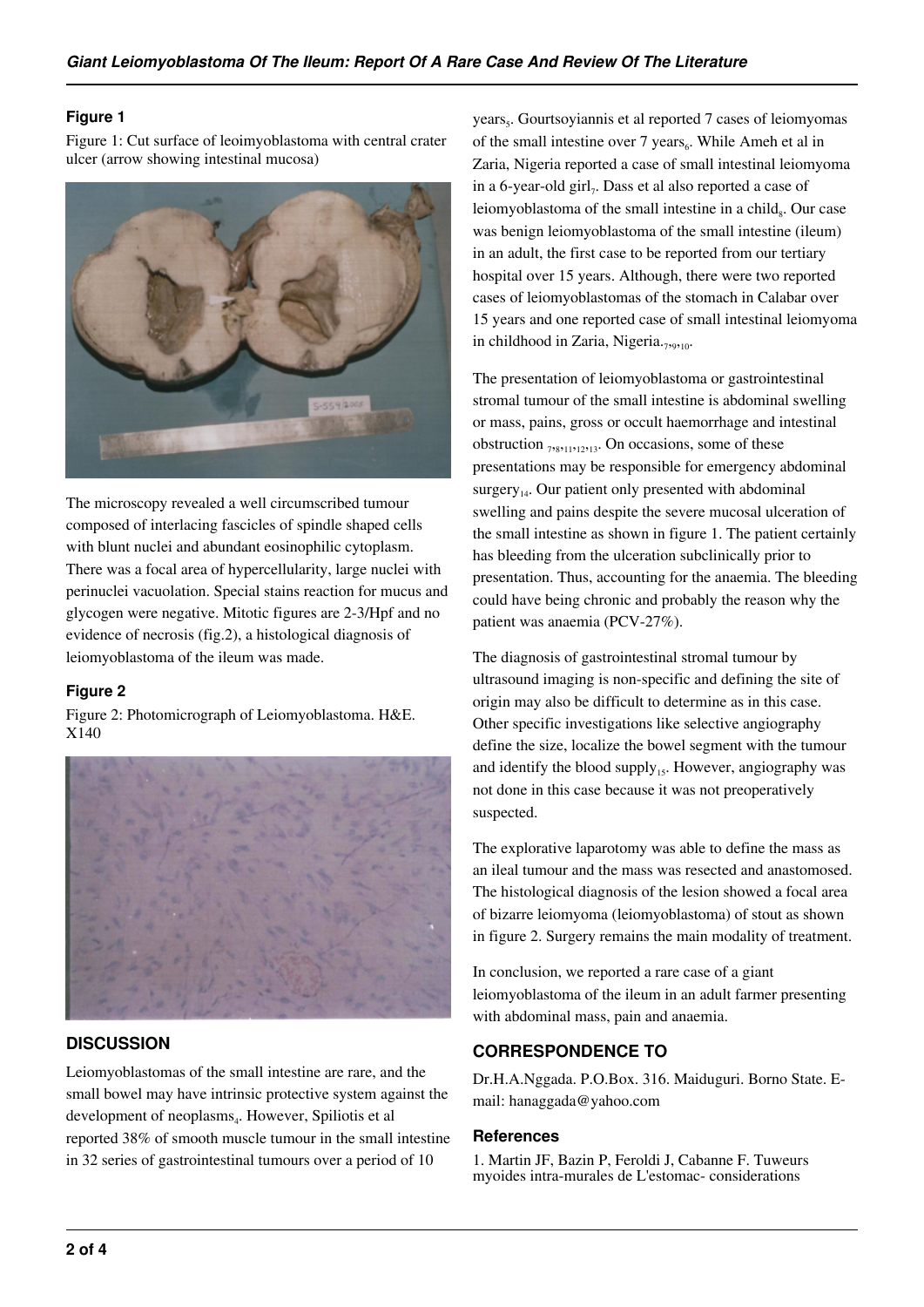#### **Figure 1**

Figure 1: Cut surface of leoimyoblastoma with central crater ulcer (arrow showing intestinal mucosa)



The microscopy revealed a well circumscribed tumour composed of interlacing fascicles of spindle shaped cells with blunt nuclei and abundant eosinophilic cytoplasm. There was a focal area of hypercellularity, large nuclei with perinuclei vacuolation. Special stains reaction for mucus and glycogen were negative. Mitotic figures are 2-3/Hpf and no evidence of necrosis (fig.2), a histological diagnosis of leiomyoblastoma of the ileum was made.

## **Figure 2**

Figure 2: Photomicrograph of Leiomyoblastoma. H&E. X140



# **DISCUSSION**

Leiomyoblastomas of the small intestine are rare, and the small bowel may have intrinsic protective system against the development of neoplasms<sub>4</sub>. However, Spiliotis et al reported 38% of smooth muscle tumour in the small intestine in 32 series of gastrointestinal tumours over a period of 10

years<sub>5</sub>. Gourtsoyiannis et al reported 7 cases of leiomyomas of the small intestine over 7 years $_6$ . While Ameh et al in Zaria, Nigeria reported a case of small intestinal leiomyoma in a 6-year-old girl<sub>7</sub>. Dass et al also reported a case of leiomyoblastoma of the small intestine in a child<sub>s</sub>. Our case was benign leiomyoblastoma of the small intestine (ileum) in an adult, the first case to be reported from our tertiary hospital over 15 years. Although, there were two reported cases of leiomyoblastomas of the stomach in Calabar over 15 years and one reported case of small intestinal leiomyoma in childhood in Zaria, Nigeria.<sub>7,9,10</sub>.

The presentation of leiomyoblastoma or gastrointestinal stromal tumour of the small intestine is abdominal swelling or mass, pains, gross or occult haemorrhage and intestinal obstruction  $_{78211212213}$ . On occasions, some of these presentations may be responsible for emergency abdominal surgery $_{14}$ . Our patient only presented with abdominal swelling and pains despite the severe mucosal ulceration of the small intestine as shown in figure 1. The patient certainly has bleeding from the ulceration subclinically prior to presentation. Thus, accounting for the anaemia. The bleeding could have being chronic and probably the reason why the patient was anaemia (PCV-27%).

The diagnosis of gastrointestinal stromal tumour by ultrasound imaging is non-specific and defining the site of origin may also be difficult to determine as in this case. Other specific investigations like selective angiography define the size, localize the bowel segment with the tumour and identify the blood supply<sub>15</sub>. However, angiography was not done in this case because it was not preoperatively suspected.

The explorative laparotomy was able to define the mass as an ileal tumour and the mass was resected and anastomosed. The histological diagnosis of the lesion showed a focal area of bizarre leiomyoma (leiomyoblastoma) of stout as shown in figure 2. Surgery remains the main modality of treatment.

In conclusion, we reported a rare case of a giant leiomyoblastoma of the ileum in an adult farmer presenting with abdominal mass, pain and anaemia.

# **CORRESPONDENCE TO**

Dr.H.A.Nggada. P.O.Box. 316. Maiduguri. Borno State. Email: hanaggada@yahoo.com

#### **References**

1. Martin JF, Bazin P, Feroldi J, Cabanne F. Tuweurs myoides intra-murales de L'estomac- considerations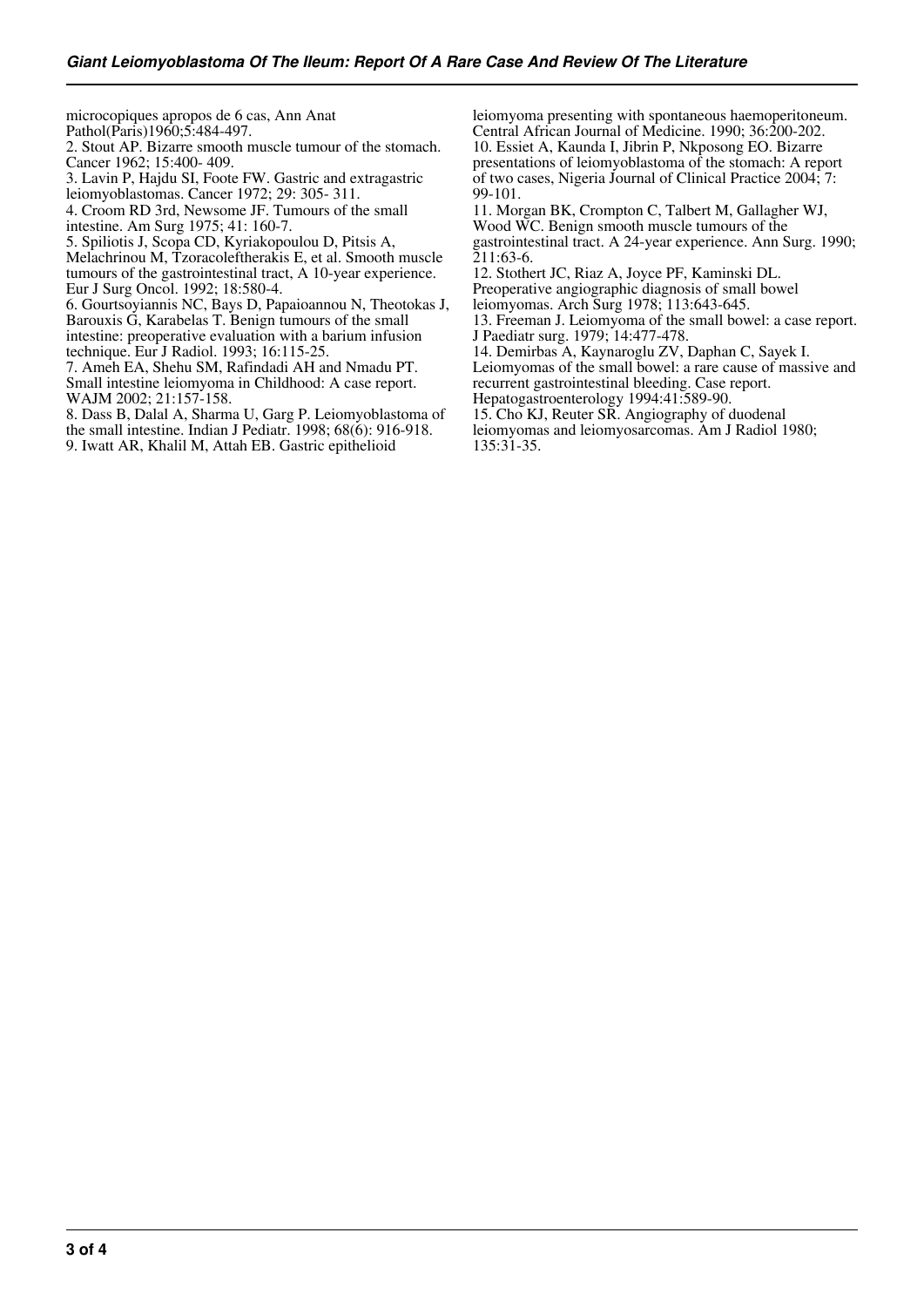microcopiques apropos de 6 cas, Ann Anat Pathol(Paris)1960;5:484-497.

2. Stout AP. Bizarre smooth muscle tumour of the stomach.

Cancer 1962; 15:400- 409. 3. Lavin P, Hajdu SI, Foote FW. Gastric and extragastric

leiomyoblastomas. Cancer 1972; 29: 305- 311.

4. Croom RD 3rd, Newsome JF. Tumours of the small

intestine. Am Surg 1975; 41: 160-7.

5. Spiliotis J, Scopa CD, Kyriakopoulou D, Pitsis A,

Melachrinou M, Tzoracoleftherakis E, et al. Smooth muscle tumours of the gastrointestinal tract, A 10-year experience. Eur J Surg Oncol. 1992; 18:580-4.

6. Gourtsoyiannis NC, Bays D, Papaioannou N, Theotokas J, Barouxis G, Karabelas T. Benign tumours of the small intestine: preoperative evaluation with a barium infusion technique. Eur J Radiol. 1993; 16:115-25.

7. Ameh EA, Shehu SM, Rafindadi AH and Nmadu PT. Small intestine leiomyoma in Childhood: A case report. WAJM 2002; 21:157-158.

8. Dass B, Dalal A, Sharma U, Garg P. Leiomyoblastoma of the small intestine. Indian J Pediatr. 1998; 68(6): 916-918. 9. Iwatt AR, Khalil M, Attah EB. Gastric epithelioid

leiomyoma presenting with spontaneous haemoperitoneum. Central African Journal of Medicine. 1990; 36:200-202. 10. Essiet A, Kaunda I, Jibrin P, Nkposong EO. Bizarre presentations of leiomyoblastoma of the stomach: A report of two cases, Nigeria Journal of Clinical Practice 2004; 7: 99-101.

11. Morgan BK, Crompton C, Talbert M, Gallagher WJ, Wood WC. Benign smooth muscle tumours of the gastrointestinal tract. A 24-year experience. Ann Surg. 1990; 211:63-6.

12. Stothert JC, Riaz A, Joyce PF, Kaminski DL. Preoperative angiographic diagnosis of small bowel

leiomyomas. Arch Surg 1978; 113:643-645.

13. Freeman J. Leiomyoma of the small bowel: a case report. J Paediatr surg. 1979; 14:477-478.

14. Demirbas A, Kaynaroglu ZV, Daphan C, Sayek I.

Leiomyomas of the small bowel: a rare cause of massive and recurrent gastrointestinal bleeding. Case report.

Hepatogastroenterology 1994:41:589-90.

15. Cho KJ, Reuter SR. Angiography of duodenal leiomyomas and leiomyosarcomas. Am J Radiol 1980; 135:31-35.